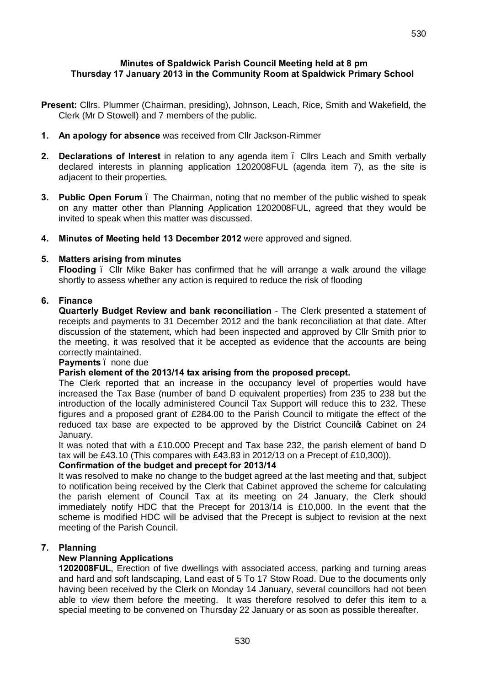## **Minutes of Spaldwick Parish Council Meeting held at 8 pm Thursday 17 January 2013 in the Community Room at Spaldwick Primary School**

- **Present:** Cllrs. Plummer (Chairman, presiding), Johnson, Leach, Rice, Smith and Wakefield, the Clerk (Mr D Stowell) and 7 members of the public.
- **1. An apology for absence** was received from Cllr Jackson-Rimmer
- **2. Declarations of Interest** in relation to any agenda item Cllrs Leach and Smith verbally declared interests in planning application 1202008FUL (agenda item 7), as the site is adjacent to their properties.
- **3. Public Open Forum**  The Chairman, noting that no member of the public wished to speak on any matter other than Planning Application 1202008FUL, agreed that they would be invited to speak when this matter was discussed.
- **4. Minutes of Meeting held 13 December 2012** were approved and signed.

## **5. Matters arising from minutes**

**Flooding** – Cllr Mike Baker has confirmed that he will arrange a walk around the village shortly to assess whether any action is required to reduce the risk of flooding

# **6. Finance**

**Quarterly Budget Review and bank reconciliation** - The Clerk presented a statement of receipts and payments to 31 December 2012 and the bank reconciliation at that date. After discussion of the statement, which had been inspected and approved by Cllr Smith prior to the meeting, it was resolved that it be accepted as evidence that the accounts are being correctly maintained.

## **Payments** – none due

## **Parish element of the 2013/14 tax arising from the proposed precept.**

The Clerk reported that an increase in the occupancy level of properties would have increased the Tax Base (number of band D equivalent properties) from 235 to 238 but the introduction of the locally administered Council Tax Support will reduce this to 232. These figures and a proposed grant of £284.00 to the Parish Council to mitigate the effect of the reduced tax base are expected to be approved by the District Councilos Cabinet on 24 January.

It was noted that with a £10.000 Precept and Tax base 232, the parish element of band D tax will be £43.10 (This compares with £43.83 in 2012/13 on a Precept of £10,300)).

## **Confirmation of the budget and precept for 2013/14**

It was resolved to make no change to the budget agreed at the last meeting and that, subject to notification being received by the Clerk that Cabinet approved the scheme for calculating the parish element of Council Tax at its meeting on 24 January, the Clerk should immediately notify HDC that the Precept for 2013/14 is £10,000. In the event that the scheme is modified HDC will be advised that the Precept is subject to revision at the next meeting of the Parish Council.

## **7. Planning**

# **New Planning Applications**

**1202008FUL**, Erection of five dwellings with associated access, parking and turning areas and hard and soft landscaping, Land east of 5 To 17 Stow Road. Due to the documents only having been received by the Clerk on Monday 14 January, several councillors had not been able to view them before the meeting. It was therefore resolved to defer this item to a special meeting to be convened on Thursday 22 January or as soon as possible thereafter.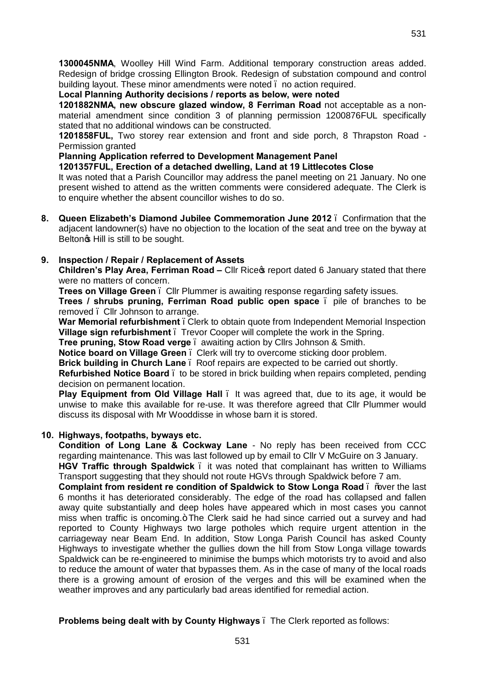**1300045NMA**, Woolley Hill Wind Farm. Additional temporary construction areas added. Redesign of bridge crossing Ellington Brook. Redesign of substation compound and control building layout. These minor amendments were noted . no action required.

**Local Planning Authority decisions / reports as below, were noted**

**1201882NMA, new obscure glazed window, 8 Ferriman Road** not acceptable as a nonmaterial amendment since condition 3 of planning permission 1200876FUL specifically stated that no additional windows can be constructed.

**1201858FUL,** Two storey rear extension and front and side porch, 8 Thrapston Road - Permission granted

## **Planning Application referred to Development Management Panel**

## **1201357FUL, Erection of a detached dwelling, Land at 19 Littlecotes Close**

It was noted that a Parish Councillor may address the panel meeting on 21 January. No one present wished to attend as the written comments were considered adequate. The Clerk is to enquire whether the absent councillor wishes to do so.

**8. Queen Elizabeth's Diamond Jubilee Commemoration June 2012** – Confirmation that the adjacent landowner(s) have no objection to the location of the seat and tree on the byway at Beltongs Hill is still to be sought.

# **9. Inspection / Repair / Replacement of Assets**

**Children's Play Area, Ferriman Road –** Cllr Rice's report dated 6 January stated that there were no matters of concern.

**Trees on Village Green** – Cllr Plummer is awaiting response regarding safety issues.

**Trees / shrubs pruning, Ferriman Road public open space** – pile of branches to be removed – Cllr Johnson to arrange.

**War Memorial refurbishment** . Clerk to obtain quote from Independent Memorial Inspection **Village sign refurbishment** – Trevor Cooper will complete the work in the Spring.

**Tree pruning, Stow Road verge** – awaiting action by Cllrs Johnson & Smith.

**Notice board on Village Green** – Clerk will try to overcome sticking door problem.

**Brick building in Church Lane** – Roof repairs are expected to be carried out shortly.

**Refurbished Notice Board** – to be stored in brick building when repairs completed, pending decision on permanent location.

**Play Equipment from Old Village Hall** – It was agreed that, due to its age, it would be unwise to make this available for re-use. It was therefore agreed that Cllr Plummer would discuss its disposal with Mr Wooddisse in whose barn it is stored.

## **10. Highways, footpaths, byways etc.**

**Condition of Long Lane & Cockway Lane** - No reply has been received from CCC regarding maintenance. This was last followed up by email to Cllr V McGuire on 3 January. **HGV Traffic through Spaldwick** – it was noted that complainant has written to Williams

Transport suggesting that they should not route HGVs through Spaldwick before 7 am. **Complaint from resident re condition of Spaldwick to Stow Longa Road** . % Wer the last 6 months it has deteriorated considerably. The edge of the road has collapsed and fallen away quite substantially and deep holes have appeared which in most cases you cannot miss when traffic is oncoming. + The Clerk said he had since carried out a survey and had reported to County Highways two large potholes which require urgent attention in the carriageway near Beam End. In addition, Stow Longa Parish Council has asked County Highways to investigate whether the gullies down the hill from Stow Longa village towards Spaldwick can be re-engineered to minimise the bumps which motorists try to avoid and also to reduce the amount of water that bypasses them. As in the case of many of the local roads there is a growing amount of erosion of the verges and this will be examined when the weather improves and any particularly bad areas identified for remedial action.

**Problems being dealt with by County Highways** – The Clerk reported as follows: